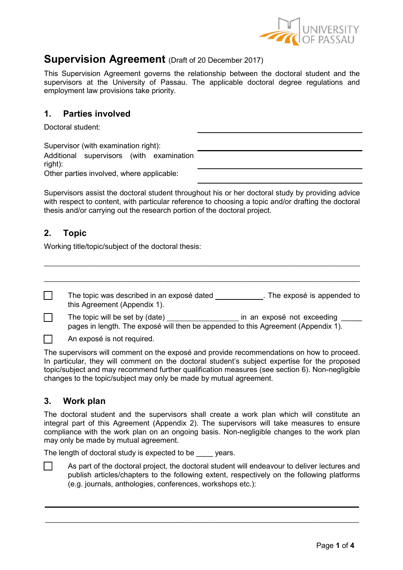

# **Supervision Agreement** (Draft of 20 December 2017)

This Supervision Agreement governs the relationship between the doctoral student and the supervisors at the University of Passau. The applicable doctoral degree regulations and employment law provisions take priority.

## **1. Parties involved**

Doctoral student:

| Supervisor (with examination right):                |  |
|-----------------------------------------------------|--|
| Additional supervisors (with examination<br>right): |  |
| Other parties involved, where applicable:           |  |

Supervisors assist the doctoral student throughout his or her doctoral study by providing advice with respect to content, with particular reference to choosing a topic and/or drafting the doctoral thesis and/or carrying out the research portion of the doctoral project.

# **2. Topic**

Working title/topic/subject of the doctoral thesis:

| The topic was described in an exposé dated<br>this Agreement (Appendix 1).                                           | . The exposé is appended to |
|----------------------------------------------------------------------------------------------------------------------|-----------------------------|
| The topic will be set by (date)<br>pages in length. The exposé will then be appended to this Agreement (Appendix 1). | in an exposé not exceeding  |
| An exposé is not required.                                                                                           |                             |

\_\_\_\_\_\_\_\_\_\_\_\_\_\_\_\_\_\_\_\_\_\_\_\_\_\_\_\_\_\_\_\_\_\_\_\_\_\_\_\_\_\_\_\_\_\_\_\_\_\_\_\_\_\_\_\_\_\_\_\_\_\_\_\_\_\_\_\_\_\_\_\_\_\_\_\_\_\_\_\_\_\_\_\_

The supervisors will comment on the exposé and provide recommendations on how to proceed. In particular, they will comment on the doctoral student's subject expertise for the proposed topic/subject and may recommend further qualification measures (see section 6). Non-negligible changes to the topic/subject may only be made by mutual agreement.

# **3. Work plan**

The doctoral student and the supervisors shall create a work plan which will constitute an integral part of this Agreement (Appendix 2). The supervisors will take measures to ensure compliance with the work plan on an ongoing basis. Non-negligible changes to the work plan may only be made by mutual agreement.

The length of doctoral study is expected to be years.

As part of the doctoral project, the doctoral student will endeavour to deliver lectures and publish articles/chapters to the following extent, respectively on the following platforms (e.g. journals, anthologies, conferences, workshops etc.):

\_\_\_\_\_\_\_\_\_\_\_\_\_\_\_\_\_\_\_\_\_\_\_\_\_\_\_\_\_\_\_\_\_\_\_\_\_\_\_\_\_\_\_\_\_\_\_\_\_\_\_\_\_\_\_\_\_\_\_\_\_\_\_\_\_\_\_\_\_\_\_\_\_\_\_\_\_\_\_\_\_\_\_\_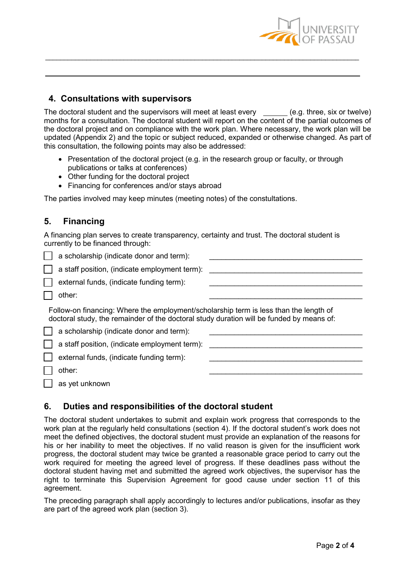

## **4. Consultations with supervisors**

The doctoral student and the supervisors will meet at least every  $\qquad$  (e.g. three, six or twelve) months for a consultation. The doctoral student will report on the content of the partial outcomes of the doctoral project and on compliance with the work plan. Where necessary, the work plan will be updated (Appendix 2) and the topic or subject reduced, expanded or otherwise changed. As part of this consultation, the following points may also be addressed:

\_\_\_\_\_\_\_\_\_\_\_\_\_\_\_\_\_\_\_\_\_\_\_\_\_\_\_\_\_\_\_\_\_\_\_\_\_\_\_\_\_\_\_\_\_\_\_\_\_\_\_\_\_\_\_\_\_\_\_\_\_\_\_\_\_\_\_\_\_\_\_\_\_\_\_\_\_\_\_\_\_\_\_\_

- Presentation of the doctoral project (e.g. in the research group or faculty, or through publications or talks at conferences)
- Other funding for the doctoral project
- Financing for conferences and/or stays abroad

The parties involved may keep minutes (meeting notes) of the constultations.

# **5. Financing**

A financing plan serves to create transparency, certainty and trust. The doctoral student is currently to be financed through:

| a scholarship (indicate donor and term):                                                                                                                                          |  |
|-----------------------------------------------------------------------------------------------------------------------------------------------------------------------------------|--|
| a staff position, (indicate employment term):                                                                                                                                     |  |
| external funds, (indicate funding term):                                                                                                                                          |  |
| other:                                                                                                                                                                            |  |
| Follow-on financing: Where the employment/scholarship term is less than the length of<br>doctoral study, the remainder of the doctoral study duration will be funded by means of: |  |
| a scholarship (indicate donor and term):                                                                                                                                          |  |
| a staff position, (indicate employment term):                                                                                                                                     |  |
| external funds, (indicate funding term):                                                                                                                                          |  |
| other:                                                                                                                                                                            |  |

as yet unknown

# **6. Duties and responsibilities of the doctoral student**

The doctoral student undertakes to submit and explain work progress that corresponds to the work plan at the regularly held consultations (section 4). If the doctoral student's work does not meet the defined objectives, the doctoral student must provide an explanation of the reasons for his or her inability to meet the objectives. If no valid reason is given for the insufficient work progress, the doctoral student may twice be granted a reasonable grace period to carry out the work required for meeting the agreed level of progress. If these deadlines pass without the doctoral student having met and submitted the agreed work objectives, the supervisor has the right to terminate this Supervision Agreement for good cause under section 11 of this agreement.

The preceding paragraph shall apply accordingly to lectures and/or publications, insofar as they are part of the agreed work plan (section 3).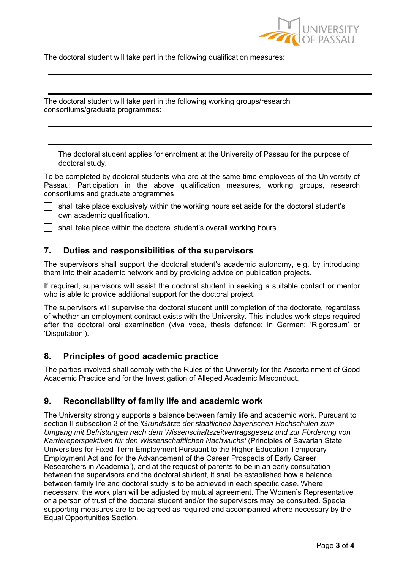

The doctoral student will take part in the following qualification measures:

The doctoral student will take part in the following working groups/research consortiums/graduate programmes:

□ The doctoral student applies for enrolment at the University of Passau for the purpose of doctoral study.

To be completed by doctoral students who are at the same time employees of the University of Passau: Participation in the above qualification measures, working groups, research consortiums and graduate programmes

 $\Box$  shall take place exclusively within the working hours set aside for the doctoral student's own academic qualification.

shall take place within the doctoral student's overall working hours.

### **7. Duties and responsibilities of the supervisors**

The supervisors shall support the doctoral student's academic autonomy, e.g. by introducing them into their academic network and by providing advice on publication projects.

If required, supervisors will assist the doctoral student in seeking a suitable contact or mentor who is able to provide additional support for the doctoral project.

The supervisors will supervise the doctoral student until completion of the doctorate, regardless of whether an employment contract exists with the University. This includes work steps required after the doctoral oral examination (viva voce, thesis defence; in German: 'Rigorosum' or 'Disputation').

#### **8. Principles of good academic practice**

The parties involved shall comply with the Rules of the University for the Ascertainment of Good Academic Practice and for the Investigation of Alleged Academic Misconduct.

### **9. Reconcilability of family life and academic work**

The University strongly supports a balance between family life and academic work. Pursuant to section II subsection 3 of the *'Grundsätze der staatlichen bayerischen Hochschulen zum Umgang mit Befristungen nach dem Wissenschaftszeitvertragsgesetz und zur Förderung von Karriereperspektiven für den Wissenschaftlichen Nachwuchs'* (Principles of Bavarian State Universities for Fixed-Term Employment Pursuant to the Higher Education Temporary Employment Act and for the Advancement of the Career Prospects of Early Career Researchers in Academia'), and at the request of parents-to-be in an early consultation between the supervisors and the doctoral student, it shall be established how a balance between family life and doctoral study is to be achieved in each specific case. Where necessary, the work plan will be adjusted by mutual agreement. The Women's Representative or a person of trust of the doctoral student and/or the supervisors may be consulted. Special supporting measures are to be agreed as required and accompanied where necessary by the Equal Opportunities Section.